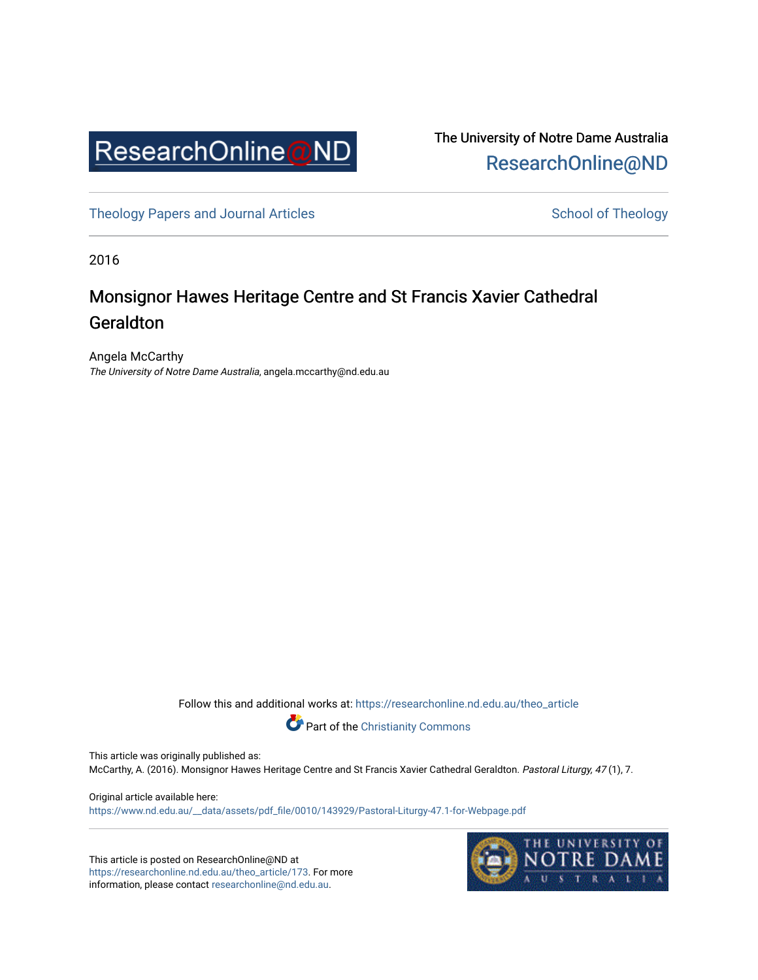

The University of Notre Dame Australia [ResearchOnline@ND](https://researchonline.nd.edu.au/) 

[Theology Papers and Journal Articles](https://researchonline.nd.edu.au/theo_article) and [School of Theology](https://researchonline.nd.edu.au/theo) School of Theology

2016

## Monsignor Hawes Heritage Centre and St Francis Xavier Cathedral Geraldton

Angela McCarthy The University of Notre Dame Australia, angela.mccarthy@nd.edu.au

Follow this and additional works at: [https://researchonline.nd.edu.au/theo\\_article](https://researchonline.nd.edu.au/theo_article?utm_source=researchonline.nd.edu.au%2Ftheo_article%2F173&utm_medium=PDF&utm_campaign=PDFCoverPages) 



Part of the [Christianity Commons](http://network.bepress.com/hgg/discipline/1181?utm_source=researchonline.nd.edu.au%2Ftheo_article%2F173&utm_medium=PDF&utm_campaign=PDFCoverPages)

This article was originally published as:

McCarthy, A. (2016). Monsignor Hawes Heritage Centre and St Francis Xavier Cathedral Geraldton. Pastoral Liturgy, 47 (1), 7.

Original article available here: [https://www.nd.edu.au/\\_\\_data/assets/pdf\\_file/0010/143929/Pastoral-Liturgy-47.1-for-Webpage.pdf](https://www.nd.edu.au/__data/assets/pdf_file/0010/143929/Pastoral-Liturgy-47.1-for-Webpage.pdf)

This article is posted on ResearchOnline@ND at [https://researchonline.nd.edu.au/theo\\_article/173](https://researchonline.nd.edu.au/theo_article/173). For more information, please contact [researchonline@nd.edu.au.](mailto:researchonline@nd.edu.au)

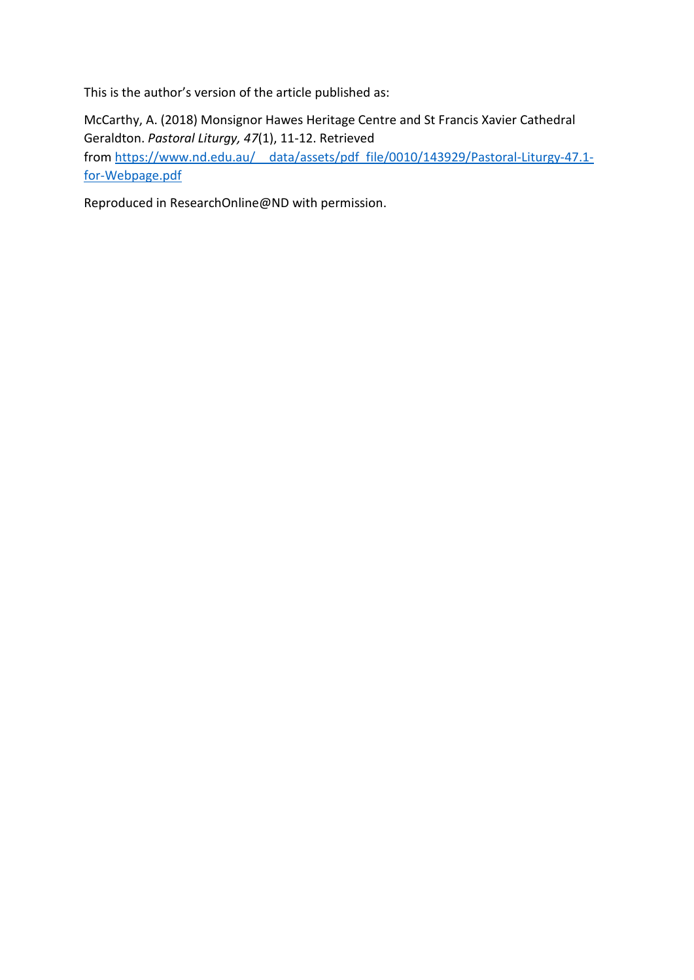This is the author's version of the article published as:

McCarthy, A. (2018) Monsignor Hawes Heritage Centre and St Francis Xavier Cathedral Geraldton. *Pastoral Liturgy, 47*(1), 11-12. Retrieved from https://www.nd.edu.au/ data/assets/pdf file/0010/143929/Pastoral-Liturgy-47.1[for-Webpage.pdf](https://www.nd.edu.au/__data/assets/pdf_file/0010/143929/Pastoral-Liturgy-47.1-for-Webpage.pdf)

Reproduced in ResearchOnline@ND with permission.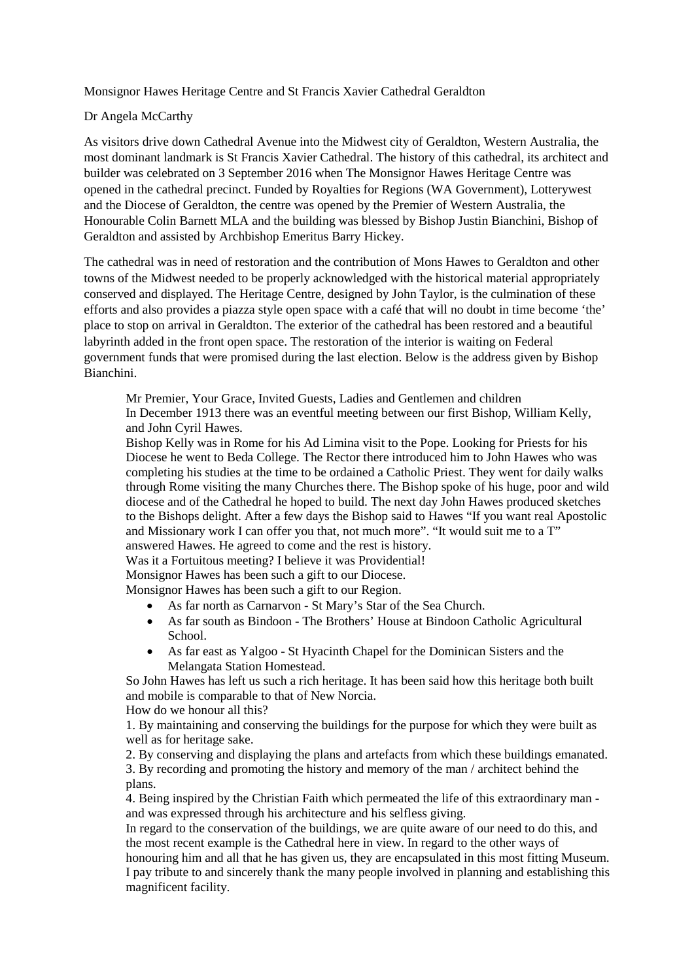Monsignor Hawes Heritage Centre and St Francis Xavier Cathedral Geraldton

## Dr Angela McCarthy

As visitors drive down Cathedral Avenue into the Midwest city of Geraldton, Western Australia, the most dominant landmark is St Francis Xavier Cathedral. The history of this cathedral, its architect and builder was celebrated on 3 September 2016 when The Monsignor Hawes Heritage Centre was opened in the cathedral precinct. Funded by Royalties for Regions (WA Government), Lotterywest and the Diocese of Geraldton, the centre was opened by the Premier of Western Australia, the Honourable Colin Barnett MLA and the building was blessed by Bishop Justin Bianchini, Bishop of Geraldton and assisted by Archbishop Emeritus Barry Hickey.

The cathedral was in need of restoration and the contribution of Mons Hawes to Geraldton and other towns of the Midwest needed to be properly acknowledged with the historical material appropriately conserved and displayed. The Heritage Centre, designed by John Taylor, is the culmination of these efforts and also provides a piazza style open space with a café that will no doubt in time become 'the' place to stop on arrival in Geraldton. The exterior of the cathedral has been restored and a beautiful labyrinth added in the front open space. The restoration of the interior is waiting on Federal government funds that were promised during the last election. Below is the address given by Bishop Bianchini.

Mr Premier, Your Grace, Invited Guests, Ladies and Gentlemen and children In December 1913 there was an eventful meeting between our first Bishop, William Kelly, and John Cyril Hawes.

Bishop Kelly was in Rome for his Ad Limina visit to the Pope. Looking for Priests for his Diocese he went to Beda College. The Rector there introduced him to John Hawes who was completing his studies at the time to be ordained a Catholic Priest. They went for daily walks through Rome visiting the many Churches there. The Bishop spoke of his huge, poor and wild diocese and of the Cathedral he hoped to build. The next day John Hawes produced sketches to the Bishops delight. After a few days the Bishop said to Hawes "If you want real Apostolic and Missionary work I can offer you that, not much more". "It would suit me to a T" answered Hawes. He agreed to come and the rest is history.

Was it a Fortuitous meeting? I believe it was Providential!

Monsignor Hawes has been such a gift to our Diocese.

Monsignor Hawes has been such a gift to our Region.

- As far north as Carnarvon St Mary's Star of the Sea Church.
- As far south as Bindoon The Brothers' House at Bindoon Catholic Agricultural School.
- As far east as Yalgoo St Hyacinth Chapel for the Dominican Sisters and the Melangata Station Homestead.

So John Hawes has left us such a rich heritage. It has been said how this heritage both built and mobile is comparable to that of New Norcia.

How do we honour all this?

1. By maintaining and conserving the buildings for the purpose for which they were built as well as for heritage sake.

2. By conserving and displaying the plans and artefacts from which these buildings emanated. 3. By recording and promoting the history and memory of the man / architect behind the plans.

4. Being inspired by the Christian Faith which permeated the life of this extraordinary man and was expressed through his architecture and his selfless giving.

In regard to the conservation of the buildings, we are quite aware of our need to do this, and the most recent example is the Cathedral here in view. In regard to the other ways of

honouring him and all that he has given us, they are encapsulated in this most fitting Museum. I pay tribute to and sincerely thank the many people involved in planning and establishing this magnificent facility.